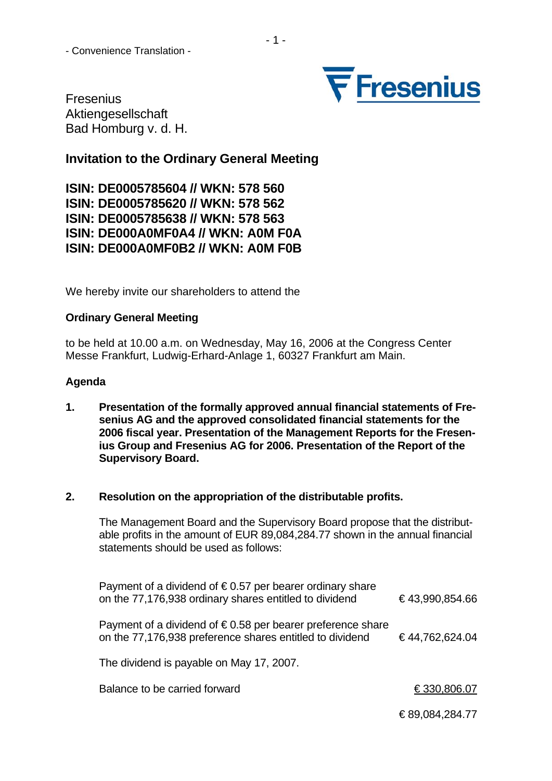

Fresenius Aktiengesellschaft Bad Homburg v. d. H.

# **Invitation to the Ordinary General Meeting**

**ISIN: DE0005785604 // WKN: 578 560 ISIN: DE0005785620 // WKN: 578 562 ISIN: DE0005785638 // WKN: 578 563 ISIN: DE000A0MF0A4 // WKN: A0M F0A ISIN: DE000A0MF0B2 // WKN: A0M F0B** 

We hereby invite our shareholders to attend the

## **Ordinary General Meeting**

to be held at 10.00 a.m. on Wednesday, May 16, 2006 at the Congress Center Messe Frankfurt, Ludwig-Erhard-Anlage 1, 60327 Frankfurt am Main.

## **Agenda**

**1. Presentation of the formally approved annual financial statements of Fresenius AG and the approved consolidated financial statements for the 2006 fiscal year. Presentation of the Management Reports for the Fresenius Group and Fresenius AG for 2006. Presentation of the Report of the Supervisory Board.** 

#### **2. Resolution on the appropriation of the distributable profits.**

The Management Board and the Supervisory Board propose that the distributable profits in the amount of EUR 89,084,284.77 shown in the annual financial statements should be used as follows:

| Payment of a dividend of $\epsilon$ 0.57 per bearer ordinary share<br>on the 77,176,938 ordinary shares entitled to dividend     | €43,990,854.66 |
|----------------------------------------------------------------------------------------------------------------------------------|----------------|
| Payment of a dividend of $\epsilon$ 0.58 per bearer preference share<br>on the 77,176,938 preference shares entitled to dividend | €44,762,624.04 |
| The dividend is payable on May 17, 2007.                                                                                         |                |

Balance to be carried forward  $\epsilon$  330,806.07

€ 89,084,284.77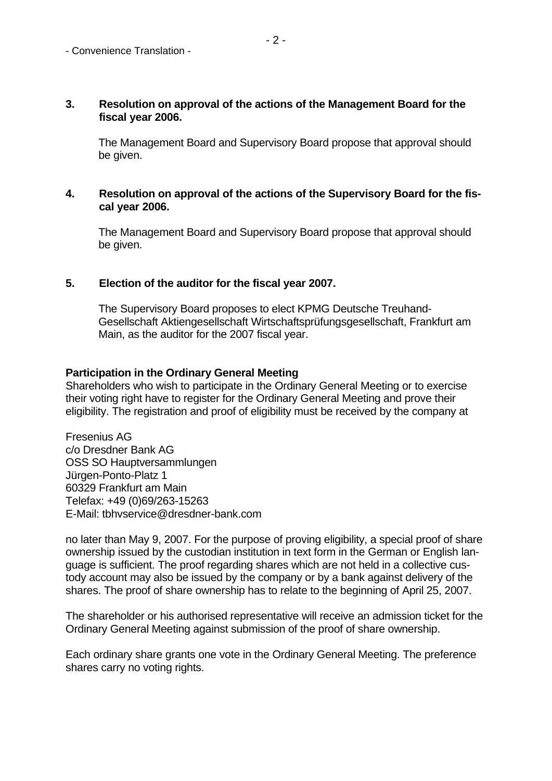#### **3. Resolution on approval of the actions of the Management Board for the fiscal year 2006.**

The Management Board and Supervisory Board propose that approval should be given.

#### **4. Resolution on approval of the actions of the Supervisory Board for the fiscal year 2006.**

The Management Board and Supervisory Board propose that approval should be given.

## **5. Election of the auditor for the fiscal year 2007.**

The Supervisory Board proposes to elect KPMG Deutsche Treuhand-Gesellschaft Aktiengesellschaft Wirtschaftsprüfungsgesellschaft, Frankfurt am Main, as the auditor for the 2007 fiscal year.

#### **Participation in the Ordinary General Meeting**

Shareholders who wish to participate in the Ordinary General Meeting or to exercise their voting right have to register for the Ordinary General Meeting and prove their eligibility. The registration and proof of eligibility must be received by the company at

Fresenius AG c/o Dresdner Bank AG OSS SO Hauptversammlungen Jürgen-Ponto-Platz 1 60329 Frankfurt am Main Telefax: +49 (0)69/263-15263 E-Mail: tbhvservice@dresdner-bank.com

no later than May 9, 2007. For the purpose of proving eligibility, a special proof of share ownership issued by the custodian institution in text form in the German or English language is sufficient. The proof regarding shares which are not held in a collective custody account may also be issued by the company or by a bank against delivery of the shares. The proof of share ownership has to relate to the beginning of April 25, 2007.

The shareholder or his authorised representative will receive an admission ticket for the Ordinary General Meeting against submission of the proof of share ownership.

Each ordinary share grants one vote in the Ordinary General Meeting. The preference shares carry no voting rights.